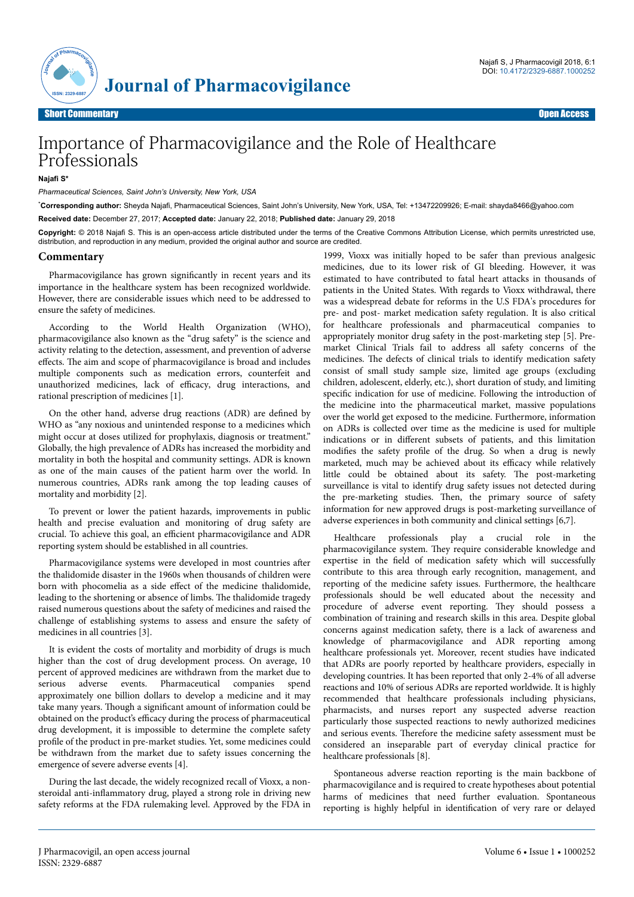

## Importance of Pharmacovigilance and the Role of Healthcare **Professionals**

**Najafi S\***

*Pharmaceutical Sciences, Saint John's University, New York, USA*

\***Corresponding author:** Sheyda Najafi, Pharmaceutical Sciences, Saint John's University, New York, USA, Tel: +13472209926; E-mail: shayda8466@yahoo.com **Received date:** December 27, 2017; **Accepted date:** January 22, 2018; **Published date:** January 29, 2018

**Copyright:** © 2018 Najafi S. This is an open-access article distributed under the terms of the Creative Commons Attribution License, which permits unrestricted use, distribution, and reproduction in any medium, provided the original author and source are credited.

## **Commentary**

Pharmacovigilance has grown significantly in recent years and its importance in the healthcare system has been recognized worldwide. However, there are considerable issues which need to be addressed to ensure the safety of medicines.

According to the World Health Organization (WHO), pharmacovigilance also known as the "drug safety" is the science and activity relating to the detection, assessment, and prevention of adverse effects. The aim and scope of pharmacovigilance is broad and includes multiple components such as medication errors, counterfeit and unauthorized medicines, lack of efficacy, drug interactions, and rational prescription of medicines [1].

On the other hand, adverse drug reactions (ADR) are defined by WHO as "any noxious and unintended response to a medicines which might occur at doses utilized for prophylaxis, diagnosis or treatment." Globally, the high prevalence of ADRs has increased the morbidity and mortality in both the hospital and community settings. ADR is known as one of the main causes of the patient harm over the world. In numerous countries, ADRs rank among the top leading causes of mortality and morbidity [2].

To prevent or lower the patient hazards, improvements in public health and precise evaluation and monitoring of drug safety are crucial. To achieve this goal, an efficient pharmacovigilance and ADR reporting system should be established in all countries.

Pharmacovigilance systems were developed in most countries after the thalidomide disaster in the 1960s when thousands of children were born with phocomelia as a side effect of the medicine thalidomide, leading to the shortening or absence of limbs. Нe thalidomide tragedy raised numerous questions about the safety of medicines and raised the challenge of establishing systems to assess and ensure the safety of medicines in all countries [3].

It is evident the costs of mortality and morbidity of drugs is much higher than the cost of drug development process. On average, 10 percent of approved medicines are withdrawn from the market due to serious adverse events. Pharmaceutical companies spend approximately one billion dollars to develop a medicine and it may take many years. Though a significant amount of information could be obtained on the product's efficacy during the process of pharmaceutical drug development, it is impossible to determine the complete safety profile of the product in pre-market studies. Yet, some medicines could be withdrawn from the market due to safety issues concerning the emergence of severe adverse events [4].

During the last decade, the widely recognized recall of Vioxx, a nonsteroidal anti-inflammatory drug, played a strong role in driving new safety reforms at the FDA rulemaking level. Approved by the FDA in

1999, Vioxx was initially hoped to be safer than previous analgesic medicines, due to its lower risk of GI bleeding. However, it was estimated to have contributed to fatal heart attacks in thousands of patients in the United States. With regards to Vioxx withdrawal, there was a widespread debate for reforms in the U.S FDA's procedures for pre- and post- market medication safety regulation. It is also critical for healthcare professionals and pharmaceutical companies to appropriately monitor drug safety in the post-marketing step [5]. Premarket Clinical Trials fail to address all safety concerns of the medicines. Нe defects of clinical trials to identify medication safety consist of small study sample size, limited age groups (excluding children, adolescent, elderly, etc.), short duration of study, and limiting specific indication for use of medicine. Following the introduction of the medicine into the pharmaceutical market, massive populations over the world get exposed to the medicine. Furthermore, information on ADRs is collected over time as the medicine is used for multiple indications or in different subsets of patients, and this limitation modifies the safety profile of the drug. So when a drug is newly marketed, much may be achieved about its efficacy while relatively little could be obtained about its safety. Нe post-marketing surveillance is vital to identify drug safety issues not detected during the pre-marketing studies. Then, the primary source of safety information for new approved drugs is post-marketing surveillance of adverse experiences in both community and clinical settings [6,7].

Healthcare professionals play a crucial role in the pharmacovigilance system. They require considerable knowledge and expertise in the field of medication safety which will successfully contribute to this area through early recognition, management, and reporting of the medicine safety issues. Furthermore, the healthcare professionals should be well educated about the necessity and procedure of adverse event reporting. They should possess a combination of training and research skills in this area. Despite global concerns against medication safety, there is a lack of awareness and knowledge of pharmacovigilance and ADR reporting among healthcare professionals yet. Moreover, recent studies have indicated that ADRs are poorly reported by healthcare providers, especially in developing countries. It has been reported that only 2-4% of all adverse reactions and 10% of serious ADRs are reported worldwide. It is highly recommended that healthcare professionals including physicians, pharmacists, and nurses report any suspected adverse reaction particularly those suspected reactions to newly authorized medicines and serious events. Нerefore the medicine safety assessment must be considered an inseparable part of everyday clinical practice for healthcare professionals [8].

Spontaneous adverse reaction reporting is the main backbone of pharmacovigilance and is required to create hypotheses about potential harms of medicines that need further evaluation. Spontaneous reporting is highly helpful in identification of very rare or delayed